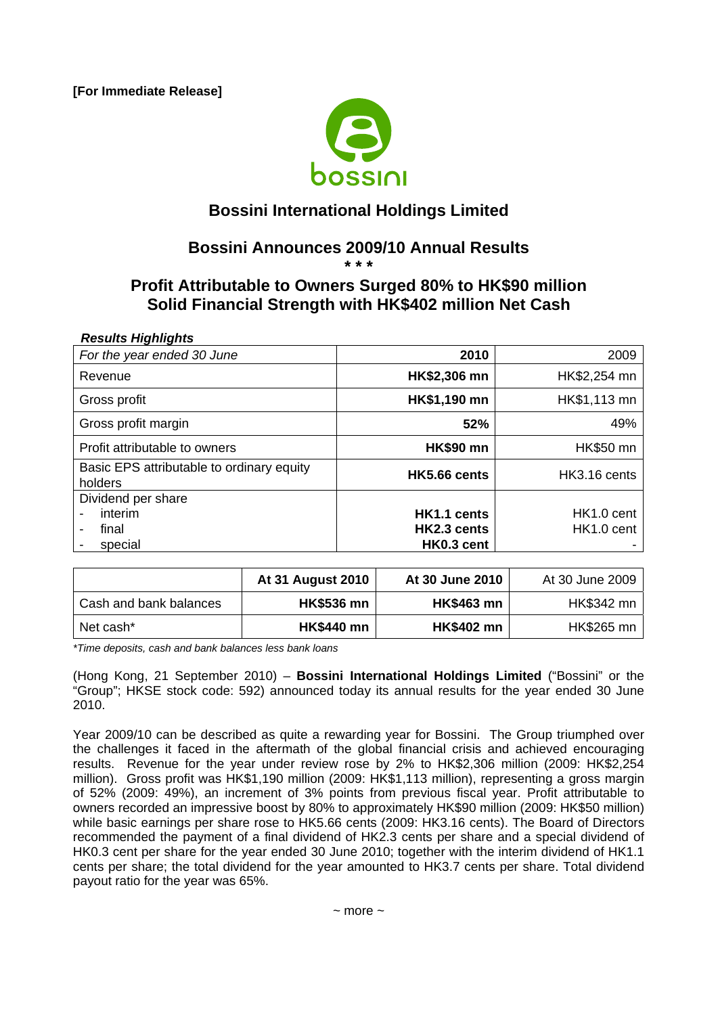**[For Immediate Release]** 



## **Bossini International Holdings Limited**

# **Bossini Announces 2009/10 Annual Results**

### **\* \* \* Profit Attributable to Owners Surged 80% to HK\$90 million Solid Financial Strength with HK\$402 million Net Cash**

#### *Results Highlights*

| For the year ended 30 June                                                    | 2010                                     | 2009                                             |
|-------------------------------------------------------------------------------|------------------------------------------|--------------------------------------------------|
| Revenue                                                                       | HK\$2,306 mn                             | HK\$2,254 mn                                     |
| Gross profit                                                                  | HK\$1,190 mn                             | HK\$1,113 mn                                     |
| Gross profit margin                                                           | 52%                                      | 49%                                              |
| Profit attributable to owners                                                 | <b>HK\$90 mn</b>                         | <b>HK\$50 mn</b>                                 |
| Basic EPS attributable to ordinary equity<br>holders                          | HK5.66 cents                             | HK3.16 cents                                     |
| Dividend per share<br>interim<br>final<br>$\overline{\phantom{0}}$<br>special | HK1.1 cents<br>HK2.3 cents<br>HK0.3 cent | HK <sub>1.0</sub> cent<br>HK <sub>1.0</sub> cent |

|                        | <b>At 31 August 2010</b> | At 30 June 2010   | At 30 June 2009 |
|------------------------|--------------------------|-------------------|-----------------|
| Cash and bank balances | <b>HK\$536 mn</b>        | <b>HK\$463 mn</b> | HK\$342 mn      |
| Net cash*              | <b>HK\$440 mn</b>        | <b>HK\$402 mn</b> | HK\$265 mn      |

*\*Time deposits, cash and bank balances less bank loans* 

(Hong Kong, 21 September 2010) – **Bossini International Holdings Limited** ("Bossini" or the "Group"; HKSE stock code: 592) announced today its annual results for the year ended 30 June 2010.

Year 2009/10 can be described as quite a rewarding year for Bossini. The Group triumphed over the challenges it faced in the aftermath of the global financial crisis and achieved encouraging results. Revenue for the year under review rose by 2% to HK\$2,306 million (2009: HK\$2,254 million). Gross profit was HK\$1,190 million (2009: HK\$1,113 million), representing a gross margin of 52% (2009: 49%), an increment of 3% points from previous fiscal year. Profit attributable to owners recorded an impressive boost by 80% to approximately HK\$90 million (2009: HK\$50 million) while basic earnings per share rose to HK5.66 cents (2009: HK3.16 cents). The Board of Directors recommended the payment of a final dividend of HK2.3 cents per share and a special dividend of HK0.3 cent per share for the year ended 30 June 2010; together with the interim dividend of HK1.1 cents per share; the total dividend for the year amounted to HK3.7 cents per share. Total dividend payout ratio for the year was 65%.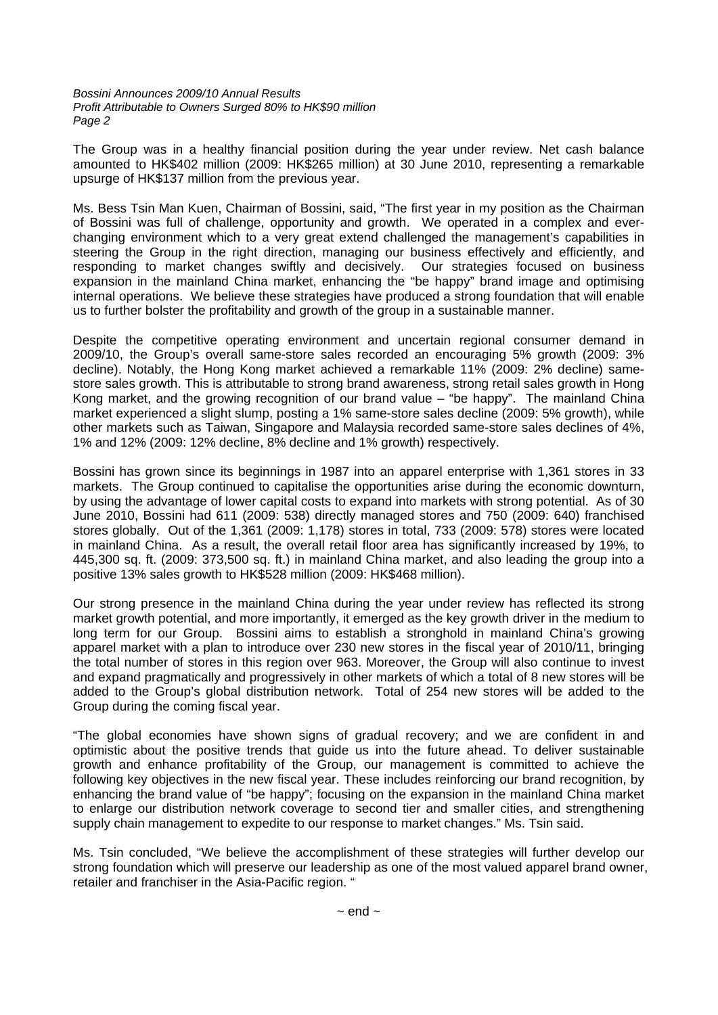*Bossini Announces 2009/10 Annual Results Profit Attributable to Owners Surged 80% to HK\$90 million Page 2*

The Group was in a healthy financial position during the year under review. Net cash balance amounted to HK\$402 million (2009: HK\$265 million) at 30 June 2010, representing a remarkable upsurge of HK\$137 million from the previous year.

Ms. Bess Tsin Man Kuen, Chairman of Bossini, said, "The first year in my position as the Chairman of Bossini was full of challenge, opportunity and growth. We operated in a complex and everchanging environment which to a very great extend challenged the management's capabilities in steering the Group in the right direction, managing our business effectively and efficiently, and responding to market changes swiftly and decisively. Our strategies focused on business expansion in the mainland China market, enhancing the "be happy" brand image and optimising internal operations. We believe these strategies have produced a strong foundation that will enable us to further bolster the profitability and growth of the group in a sustainable manner.

Despite the competitive operating environment and uncertain regional consumer demand in 2009/10, the Group's overall same-store sales recorded an encouraging 5% growth (2009: 3% decline). Notably, the Hong Kong market achieved a remarkable 11% (2009: 2% decline) samestore sales growth. This is attributable to strong brand awareness, strong retail sales growth in Hong Kong market, and the growing recognition of our brand value – "be happy". The mainland China market experienced a slight slump, posting a 1% same-store sales decline (2009: 5% growth), while other markets such as Taiwan, Singapore and Malaysia recorded same-store sales declines of 4%, 1% and 12% (2009: 12% decline, 8% decline and 1% growth) respectively.

Bossini has grown since its beginnings in 1987 into an apparel enterprise with 1,361 stores in 33 markets. The Group continued to capitalise the opportunities arise during the economic downturn, by using the advantage of lower capital costs to expand into markets with strong potential. As of 30 June 2010, Bossini had 611 (2009: 538) directly managed stores and 750 (2009: 640) franchised stores globally. Out of the 1,361 (2009: 1,178) stores in total, 733 (2009: 578) stores were located in mainland China. As a result, the overall retail floor area has significantly increased by 19%, to 445,300 sq. ft. (2009: 373,500 sq. ft.) in mainland China market, and also leading the group into a positive 13% sales growth to HK\$528 million (2009: HK\$468 million).

Our strong presence in the mainland China during the year under review has reflected its strong market growth potential, and more importantly, it emerged as the key growth driver in the medium to long term for our Group. Bossini aims to establish a stronghold in mainland China's growing apparel market with a plan to introduce over 230 new stores in the fiscal year of 2010/11, bringing the total number of stores in this region over 963. Moreover, the Group will also continue to invest and expand pragmatically and progressively in other markets of which a total of 8 new stores will be added to the Group's global distribution network. Total of 254 new stores will be added to the Group during the coming fiscal year.

"The global economies have shown signs of gradual recovery; and we are confident in and optimistic about the positive trends that guide us into the future ahead. To deliver sustainable growth and enhance profitability of the Group, our management is committed to achieve the following key objectives in the new fiscal year. These includes reinforcing our brand recognition, by enhancing the brand value of "be happy"; focusing on the expansion in the mainland China market to enlarge our distribution network coverage to second tier and smaller cities, and strengthening supply chain management to expedite to our response to market changes." Ms. Tsin said.

Ms. Tsin concluded, "We believe the accomplishment of these strategies will further develop our strong foundation which will preserve our leadership as one of the most valued apparel brand owner, retailer and franchiser in the Asia-Pacific region. "